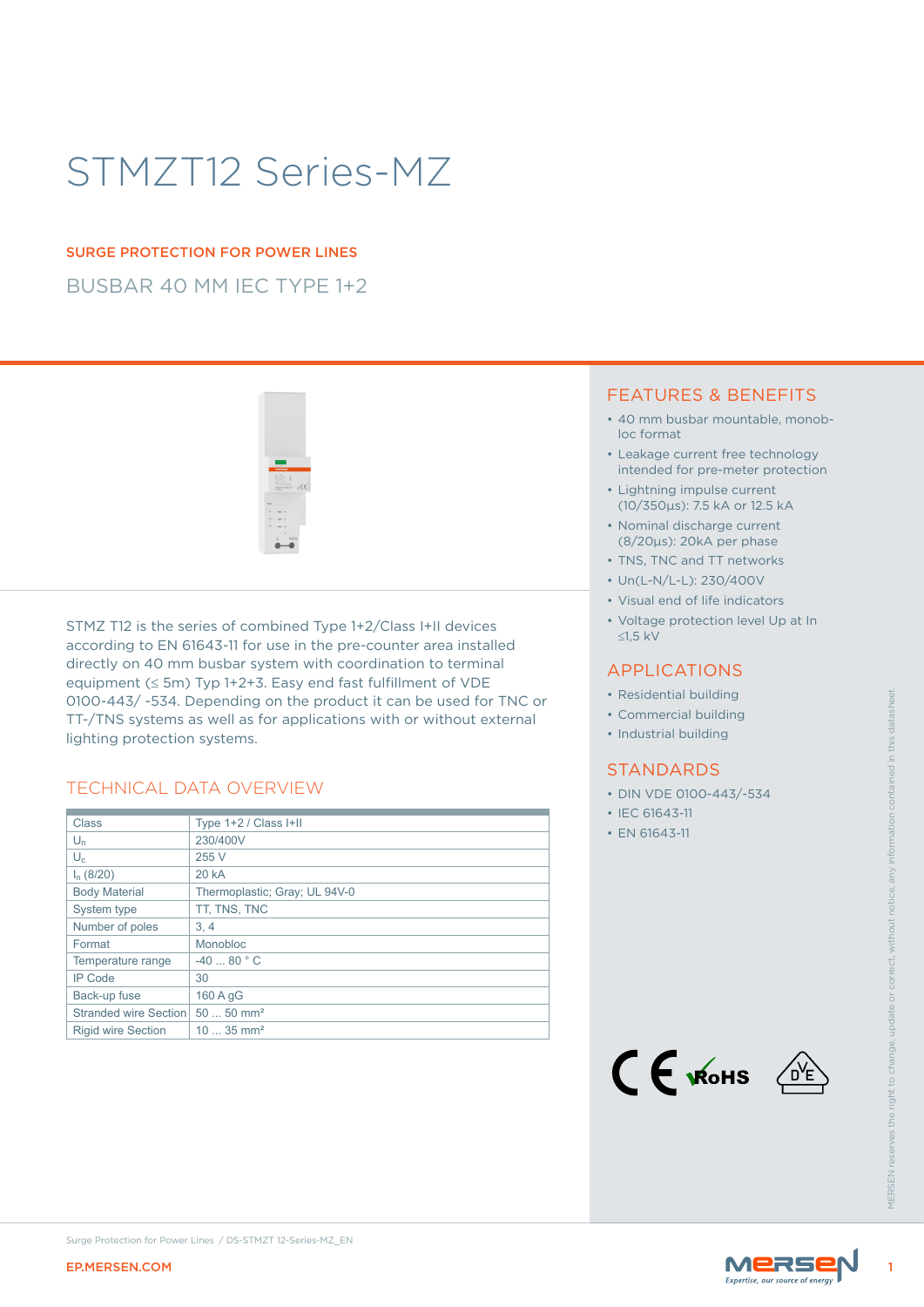# STMZT12 Series-MZ

### SURGE PROTECTION FOR POWER LINES

BUSBAR 40 MM IEC TYPE 1+2



STMZ T12 is the series of combined Type 1+2/Class I+II devices according to EN 61643-11 for use in the pre-counter area installed directly on 40 mm busbar system with coordination to terminal equipment (≤ 5m) Typ 1+2+3. Easy end fast fulfillment of VDE 0100-443/ -534. Depending on the product it can be used for TNC or TT-/TNS systems as well as for applications with or without external lighting protection systems.

### TECHNICAL DATA OVERVIEW

|                                                                                                                                                                                                                                                                                                                                                                                                                                                                                                                                     | 0100-443/-534. Depending on the product it can be used for TNC or<br>TT-/TNS systems as well as for applications with or without external | • Residential building<br>• Commercial building<br>• Industrial building                                  |                    |
|-------------------------------------------------------------------------------------------------------------------------------------------------------------------------------------------------------------------------------------------------------------------------------------------------------------------------------------------------------------------------------------------------------------------------------------------------------------------------------------------------------------------------------------|-------------------------------------------------------------------------------------------------------------------------------------------|-----------------------------------------------------------------------------------------------------------|--------------------|
| lighting protection systems.<br><b>TECHNICAL DATA OVERVIEW</b><br>Type 1+2 / Class I+II<br>Class<br>$\mathsf{U}_\mathsf{n}$<br>230/400V<br>$U_c$<br>255 V<br>$I_n$ (8/20)<br><b>20 kA</b><br>Thermoplastic; Gray; UL 94V-0<br><b>Body Material</b><br>System type<br>TT, TNS, TNC<br>Number of poles<br>3, 4<br>Format<br>Monobloc<br>$-4080 °C$<br>Temperature range<br><b>IP Code</b><br>30<br>Back-up fuse<br>160 A gG<br>$5050$ mm <sup>2</sup><br>Stranded wire Section<br>$1035$ mm <sup>2</sup><br><b>Rigid wire Section</b> |                                                                                                                                           | <b>STANDARDS</b><br>• DIN VDE 0100-443/-534<br>• IEC 61643-11<br>• EN 61643-11<br>$C \in \mathcal{K}$ ohs | <b>VIFRSEN res</b> |
| <b>EP.MERSEN.COM</b>                                                                                                                                                                                                                                                                                                                                                                                                                                                                                                                | Surge Protection for Power Lines / DS-STMZT 12-Series-MZ_EN                                                                               | MERSE                                                                                                     |                    |

### FEATURES & BENEFITS

- 40 mm busbar mountable, monobloc format
- Leakage current free technology intended for pre-meter protection
- Lightning impulse current (10/350μs): 7.5 kA or 12.5 kA
- Nominal discharge current (8/20μs): 20kA per phase
- TNS, TNC and TT networks
- Un(L-N/L-L): 230/400V
- Visual end of life indicators
- Voltage protection level Up at In ≤1,5 kV

### APPLICATIONS

- Residential building
- Commercial building
- Industrial building

### **STANDARDS**

- DIN VDE 0100-443/-534
- IEC 61643-11
- EN 61643-11